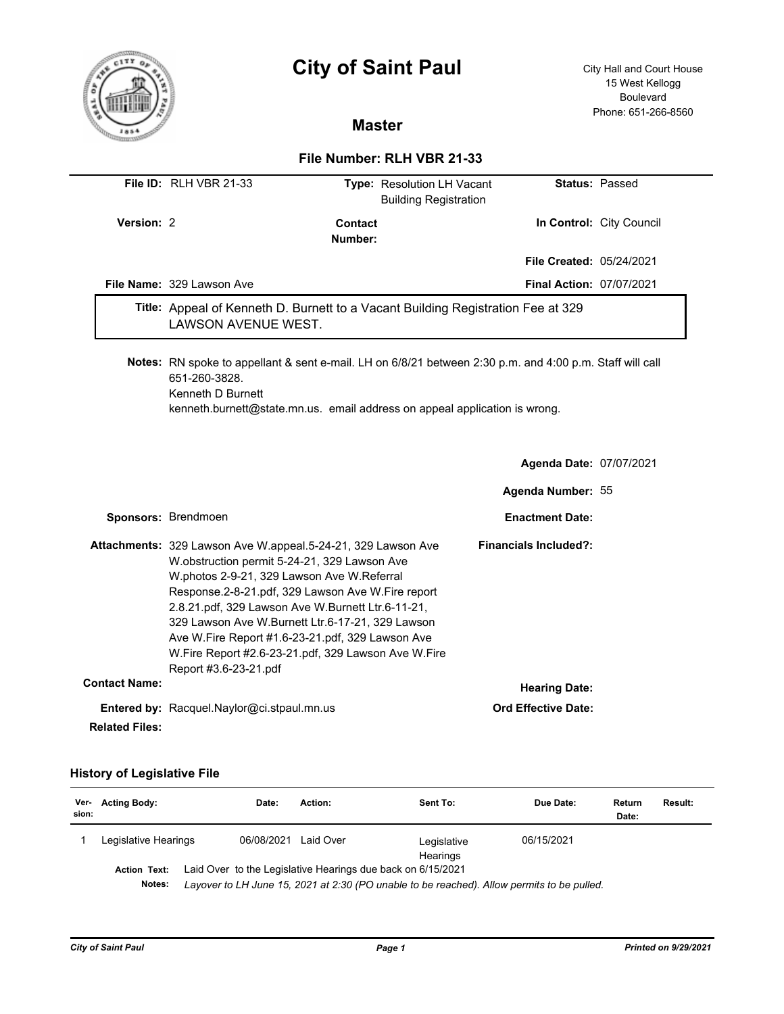

# City of Saint Paul City Hall and Court House

15 West Kellogg Boulevard Phone: 651-266-8560

## **Master**

## **File Number: RLH VBR 21-33**

|            | File ID: RLH VBR 21-33                                                                                                                                                                                                       |                    | <b>Type: Resolution LH Vacant</b><br><b>Building Registration</b> |                                                     | <b>Status: Passed</b>    |
|------------|------------------------------------------------------------------------------------------------------------------------------------------------------------------------------------------------------------------------------|--------------------|-------------------------------------------------------------------|-----------------------------------------------------|--------------------------|
| Version: 2 |                                                                                                                                                                                                                              | Contact<br>Number: |                                                                   |                                                     | In Control: City Council |
|            |                                                                                                                                                                                                                              |                    |                                                                   | <b>File Created: 05/24/2021</b>                     |                          |
|            | File Name: 329 Lawson Ave                                                                                                                                                                                                    |                    |                                                                   | <b>Final Action: 07/07/2021</b>                     |                          |
|            | Title: Appeal of Kenneth D. Burnett to a Vacant Building Registration Fee at 329<br>LAWSON AVENUE WEST.                                                                                                                      |                    |                                                                   |                                                     |                          |
|            | Notes: RN spoke to appellant & sent e-mail. LH on 6/8/21 between 2:30 p.m. and 4:00 p.m. Staff will call<br>651-260-3828.<br>Kenneth D Burnett<br>kenneth.burnett@state.mn.us. email address on appeal application is wrong. |                    |                                                                   |                                                     |                          |
|            |                                                                                                                                                                                                                              |                    |                                                                   | <b>Agenda Date: 07/07/2021</b><br>Agenda Number: 55 |                          |

|                       | <b>Sponsors: Brendmoen</b>                                                                                                                                                                                                                                                                                                                                                                                                                                        | <b>Enactment Date:</b>       |
|-----------------------|-------------------------------------------------------------------------------------------------------------------------------------------------------------------------------------------------------------------------------------------------------------------------------------------------------------------------------------------------------------------------------------------------------------------------------------------------------------------|------------------------------|
|                       | Attachments: 329 Lawson Ave W.appeal.5-24-21, 329 Lawson Ave<br>W.obstruction permit 5-24-21, 329 Lawson Ave<br>W.photos 2-9-21, 329 Lawson Ave W.Referral<br>Response.2-8-21.pdf, 329 Lawson Ave W. Fire report<br>2.8.21.pdf, 329 Lawson Ave W. Burnett Ltr.6-11-21,<br>329 Lawson Ave W.Burnett Ltr.6-17-21, 329 Lawson<br>Ave W. Fire Report #1.6-23-21.pdf, 329 Lawson Ave<br>W. Fire Report #2.6-23-21.pdf, 329 Lawson Ave W. Fire<br>Report #3.6-23-21.pdf | <b>Financials Included?:</b> |
| <b>Contact Name:</b>  |                                                                                                                                                                                                                                                                                                                                                                                                                                                                   | <b>Hearing Date:</b>         |
| <b>Related Files:</b> | Entered by: Racquel.Naylor@ci.stpaul.mn.us                                                                                                                                                                                                                                                                                                                                                                                                                        | <b>Ord Effective Date:</b>   |

## **History of Legislative File**

| Ver-<br>sion: | <b>Acting Body:</b>                                                                                                                                                                        | Date:                | Action: | Sent To:                | Due Date:  | Return<br>Date: | Result: |
|---------------|--------------------------------------------------------------------------------------------------------------------------------------------------------------------------------------------|----------------------|---------|-------------------------|------------|-----------------|---------|
|               | Legislative Hearings                                                                                                                                                                       | 06/08/2021 Laid Over |         | Legislative<br>Hearings | 06/15/2021 |                 |         |
|               | Laid Over to the Legislative Hearings due back on 6/15/2021<br><b>Action Text:</b><br>Layover to LH June 15, 2021 at 2:30 (PO unable to be reached). Allow permits to be pulled.<br>Notes: |                      |         |                         |            |                 |         |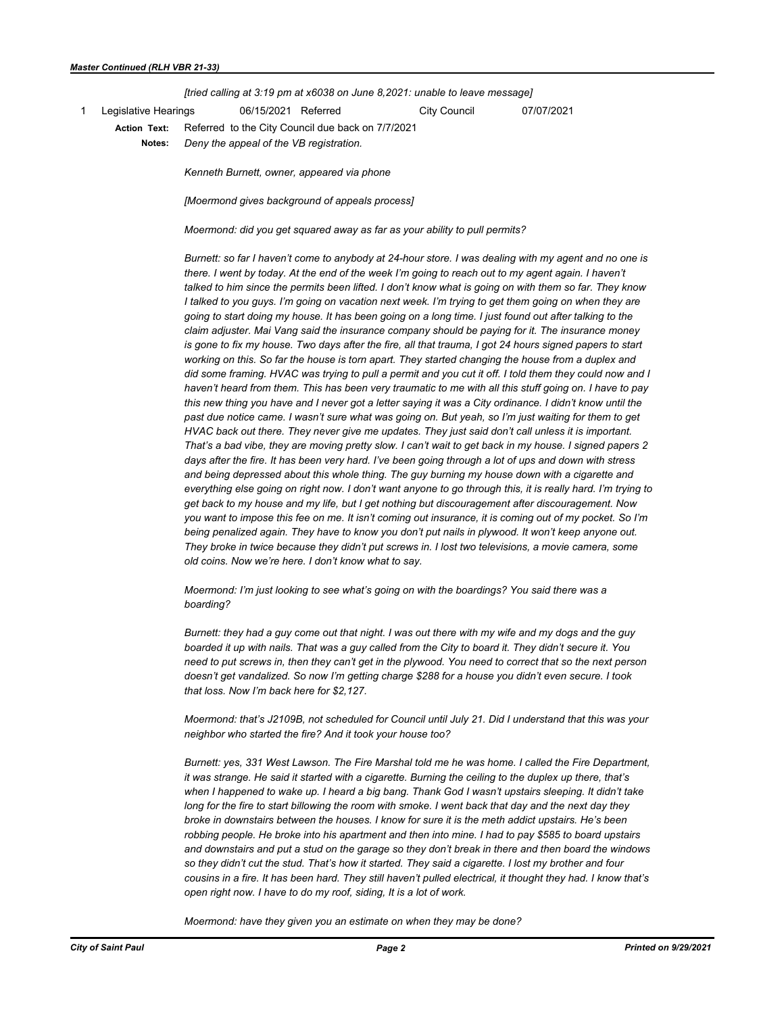#### *[tried calling at 3:19 pm at x6038 on June 8,2021: unable to leave message]*

- 1 Legislative Hearings 06/15/2021 Referred City Council 07/07/2021
	- **Action Text:** Referred to the City Council due back on 7/7/2021 *Deny the appeal of the VB registration.*   **Notes:**

*Kenneth Burnett, owner, appeared via phone*

*[Moermond gives background of appeals process]*

*Moermond: did you get squared away as far as your ability to pull permits?*

*Burnett: so far I haven't come to anybody at 24-hour store. I was dealing with my agent and no one is there. I went by today. At the end of the week I'm going to reach out to my agent again. I haven't talked to him since the permits been lifted. I don't know what is going on with them so far. They know I talked to you guys. I'm going on vacation next week. I'm trying to get them going on when they are going to start doing my house. It has been going on a long time. I just found out after talking to the claim adjuster. Mai Vang said the insurance company should be paying for it. The insurance money is gone to fix my house. Two days after the fire, all that trauma, I got 24 hours signed papers to start*  working on this. So far the house is torn apart. They started changing the house from a duplex and did some framing. HVAC was trying to pull a permit and you cut it off. I told them they could now and I *haven't heard from them. This has been very traumatic to me with all this stuff going on. I have to pay this new thing you have and I never got a letter saying it was a City ordinance. I didn't know until the past due notice came. I wasn't sure what was going on. But yeah, so I'm just waiting for them to get HVAC back out there. They never give me updates. They just said don't call unless it is important. That's a bad vibe, they are moving pretty slow. I can't wait to get back in my house. I signed papers 2 days after the fire. It has been very hard. I've been going through a lot of ups and down with stress and being depressed about this whole thing. The guy burning my house down with a cigarette and everything else going on right now. I don't want anyone to go through this, it is really hard. I'm trying to get back to my house and my life, but I get nothing but discouragement after discouragement. Now you want to impose this fee on me. It isn't coming out insurance, it is coming out of my pocket. So I'm being penalized again. They have to know you don't put nails in plywood. It won't keep anyone out. They broke in twice because they didn't put screws in. I lost two televisions, a movie camera, some old coins. Now we're here. I don't know what to say.* 

*Moermond: I'm just looking to see what's going on with the boardings? You said there was a boarding?*

*Burnett: they had a guy come out that night. I was out there with my wife and my dogs and the guy boarded it up with nails. That was a guy called from the City to board it. They didn't secure it. You need to put screws in, then they can't get in the plywood. You need to correct that so the next person doesn't get vandalized. So now I'm getting charge \$288 for a house you didn't even secure. I took that loss. Now I'm back here for \$2,127.*

*Moermond: that's J2109B, not scheduled for Council until July 21. Did I understand that this was your neighbor who started the fire? And it took your house too?*

*Burnett: yes, 331 West Lawson. The Fire Marshal told me he was home. I called the Fire Department, it was strange. He said it started with a cigarette. Burning the ceiling to the duplex up there, that's when I happened to wake up. I heard a big bang. Thank God I wasn't upstairs sleeping. It didn't take long for the fire to start billowing the room with smoke. I went back that day and the next day they broke in downstairs between the houses. I know for sure it is the meth addict upstairs. He's been robbing people. He broke into his apartment and then into mine. I had to pay \$585 to board upstairs and downstairs and put a stud on the garage so they don't break in there and then board the windows so they didn't cut the stud. That's how it started. They said a cigarette. I lost my brother and four cousins in a fire. It has been hard. They still haven't pulled electrical, it thought they had. I know that's open right now. I have to do my roof, siding, It is a lot of work.*

*Moermond: have they given you an estimate on when they may be done?*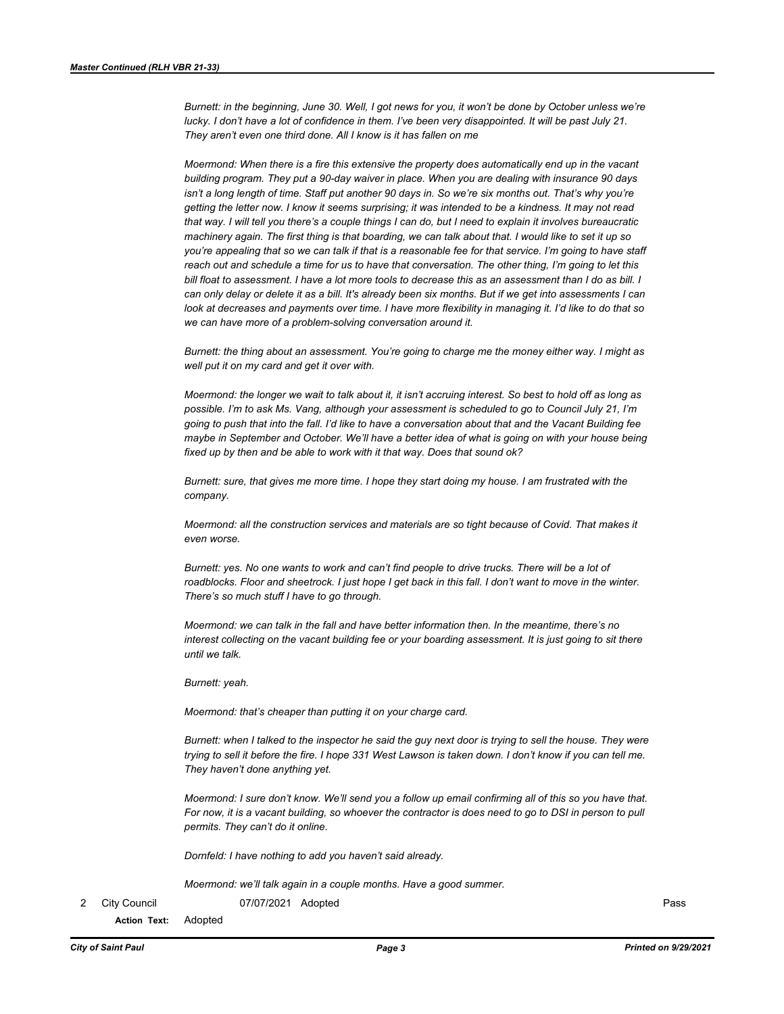*Burnett: in the beginning, June 30. Well, I got news for you, it won't be done by October unless we're lucky. I don't have a lot of confidence in them. I've been very disappointed. It will be past July 21. They aren't even one third done. All I know is it has fallen on me*

*Moermond: When there is a fire this extensive the property does automatically end up in the vacant building program. They put a 90-day waiver in place. When you are dealing with insurance 90 days isn't a long length of time. Staff put another 90 days in. So we're six months out. That's why you're getting the letter now. I know it seems surprising; it was intended to be a kindness. It may not read that way. I will tell you there's a couple things I can do, but I need to explain it involves bureaucratic machinery again. The first thing is that boarding, we can talk about that. I would like to set it up so you're appealing that so we can talk if that is a reasonable fee for that service. I'm going to have staff reach out and schedule a time for us to have that conversation. The other thing, I'm going to let this bill float to assessment. I have a lot more tools to decrease this as an assessment than I do as bill. I can only delay or delete it as a bill. It's already been six months. But if we get into assessments I can look at decreases and payments over time. I have more flexibility in managing it. I'd like to do that so we can have more of a problem-solving conversation around it.* 

*Burnett: the thing about an assessment. You're going to charge me the money either way. I might as well put it on my card and get it over with.*

*Moermond: the longer we wait to talk about it, it isn't accruing interest. So best to hold off as long as possible. I'm to ask Ms. Vang, although your assessment is scheduled to go to Council July 21, I'm going to push that into the fall. I'd like to have a conversation about that and the Vacant Building fee maybe in September and October. We'll have a better idea of what is going on with your house being fixed up by then and be able to work with it that way. Does that sound ok?*

*Burnett: sure, that gives me more time. I hope they start doing my house. I am frustrated with the company.*

*Moermond: all the construction services and materials are so tight because of Covid. That makes it even worse.*

*Burnett: yes. No one wants to work and can't find people to drive trucks. There will be a lot of roadblocks. Floor and sheetrock. I just hope I get back in this fall. I don't want to move in the winter. There's so much stuff I have to go through.* 

*Moermond: we can talk in the fall and have better information then. In the meantime, there's no interest collecting on the vacant building fee or your boarding assessment. It is just going to sit there until we talk.* 

*Burnett: yeah.* 

*Moermond: that's cheaper than putting it on your charge card.*

*Burnett: when I talked to the inspector he said the guy next door is trying to sell the house. They were trying to sell it before the fire. I hope 331 West Lawson is taken down. I don't know if you can tell me. They haven't done anything yet.*

*Moermond: I sure don't know. We'll send you a follow up email confirming all of this so you have that. For now, it is a vacant building, so whoever the contractor is does need to go to DSI in person to pull permits. They can't do it online.*

*Dornfeld: I have nothing to add you haven't said already.*

*Moermond: we'll talk again in a couple months. Have a good summer.*

2 City Council 07/07/2021 Adopted Pass

 **Action Text:** Adopted